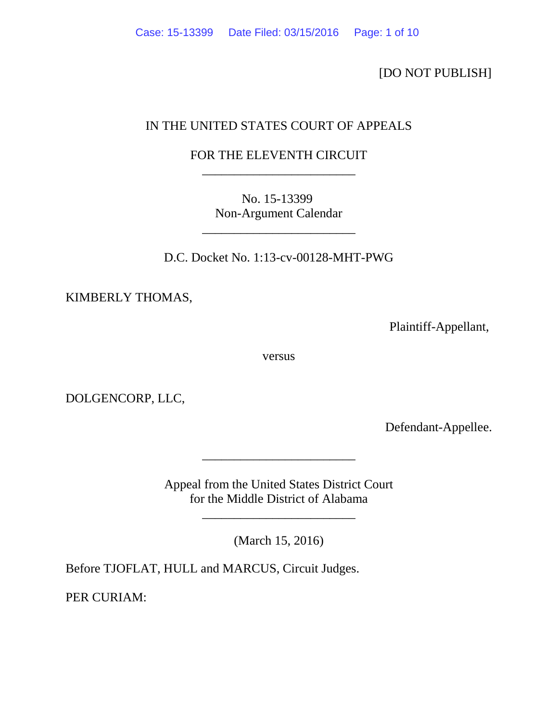[DO NOT PUBLISH]

# IN THE UNITED STATES COURT OF APPEALS

# FOR THE ELEVENTH CIRCUIT \_\_\_\_\_\_\_\_\_\_\_\_\_\_\_\_\_\_\_\_\_\_\_\_

No. 15-13399 Non-Argument Calendar

\_\_\_\_\_\_\_\_\_\_\_\_\_\_\_\_\_\_\_\_\_\_\_\_

D.C. Docket No. 1:13-cv-00128-MHT-PWG

KIMBERLY THOMAS,

Plaintiff-Appellant,

versus

DOLGENCORP, LLC,

Defendant-Appellee.

Appeal from the United States District Court for the Middle District of Alabama

\_\_\_\_\_\_\_\_\_\_\_\_\_\_\_\_\_\_\_\_\_\_\_\_

(March 15, 2016)

\_\_\_\_\_\_\_\_\_\_\_\_\_\_\_\_\_\_\_\_\_\_\_\_

Before TJOFLAT, HULL and MARCUS, Circuit Judges.

PER CURIAM: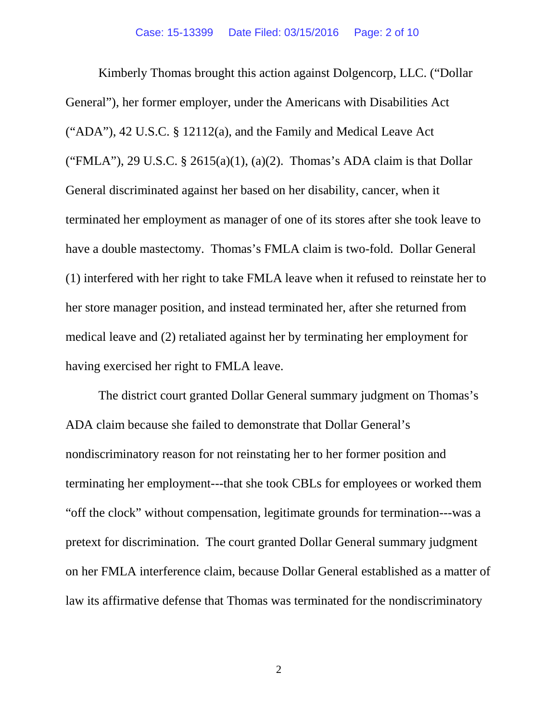Kimberly Thomas brought this action against Dolgencorp, LLC. ("Dollar General"), her former employer, under the Americans with Disabilities Act ("ADA"), 42 U.S.C. § 12112(a), and the Family and Medical Leave Act ("FMLA"), 29 U.S.C. § 2615(a)(1), (a)(2). Thomas's ADA claim is that Dollar General discriminated against her based on her disability, cancer, when it terminated her employment as manager of one of its stores after she took leave to have a double mastectomy. Thomas's FMLA claim is two-fold. Dollar General (1) interfered with her right to take FMLA leave when it refused to reinstate her to her store manager position, and instead terminated her, after she returned from medical leave and (2) retaliated against her by terminating her employment for having exercised her right to FMLA leave.

The district court granted Dollar General summary judgment on Thomas's ADA claim because she failed to demonstrate that Dollar General's nondiscriminatory reason for not reinstating her to her former position and terminating her employment---that she took CBLs for employees or worked them "off the clock" without compensation, legitimate grounds for termination---was a pretext for discrimination. The court granted Dollar General summary judgment on her FMLA interference claim, because Dollar General established as a matter of law its affirmative defense that Thomas was terminated for the nondiscriminatory

2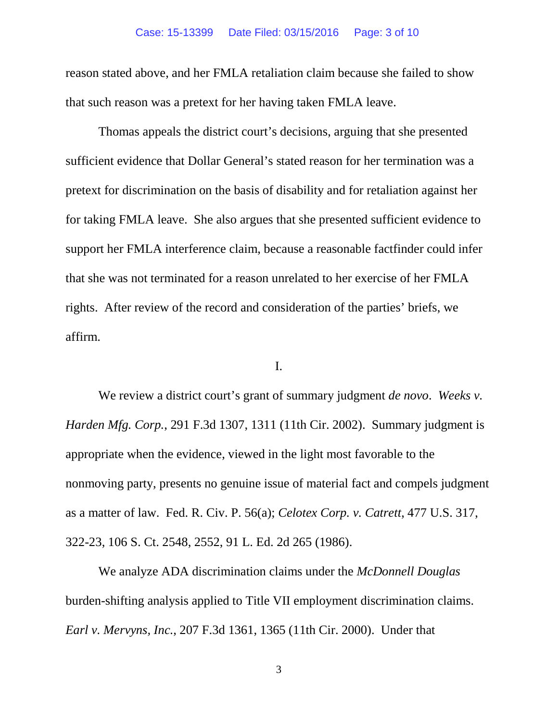reason stated above, and her FMLA retaliation claim because she failed to show that such reason was a pretext for her having taken FMLA leave.

Thomas appeals the district court's decisions, arguing that she presented sufficient evidence that Dollar General's stated reason for her termination was a pretext for discrimination on the basis of disability and for retaliation against her for taking FMLA leave. She also argues that she presented sufficient evidence to support her FMLA interference claim, because a reasonable factfinder could infer that she was not terminated for a reason unrelated to her exercise of her FMLA rights. After review of the record and consideration of the parties' briefs, we affirm.

### I.

We review a district court's grant of summary judgment *de novo*. *Weeks v. Harden Mfg. Corp.*, 291 F.3d 1307, 1311 (11th Cir. 2002). Summary judgment is appropriate when the evidence, viewed in the light most favorable to the nonmoving party, presents no genuine issue of material fact and compels judgment as a matter of law. Fed. R. Civ. P. 56(a); *Celotex Corp. v. Catrett*, 477 U.S. 317, 322-23, 106 S. Ct. 2548, 2552, 91 L. Ed. 2d 265 (1986).

We analyze ADA discrimination claims under the *McDonnell Douglas*  burden-shifting analysis applied to Title VII employment discrimination claims. *Earl v. Mervyns, Inc.*, 207 F.3d 1361, 1365 (11th Cir. 2000). Under that

3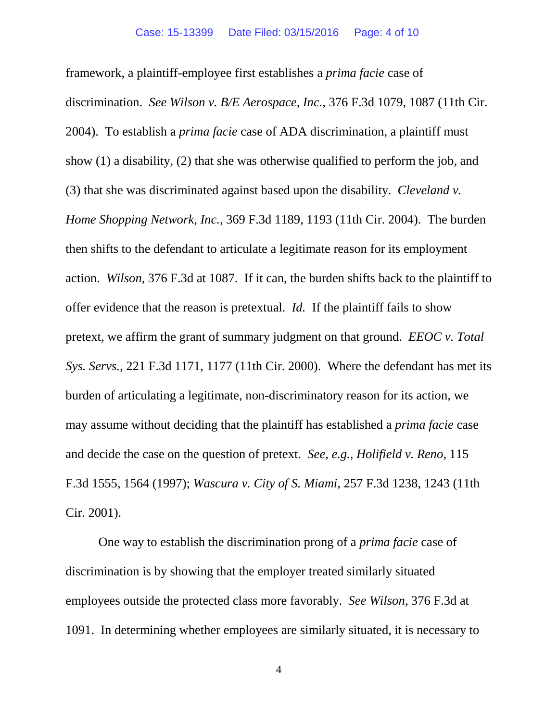framework, a plaintiff-employee first establishes a *prima facie* case of discrimination. *See Wilson v. B/E Aerospace, Inc.*, 376 F.3d 1079, 1087 (11th Cir. 2004). To establish a *prima facie* case of ADA discrimination, a plaintiff must show (1) a disability, (2) that she was otherwise qualified to perform the job, and (3) that she was discriminated against based upon the disability. *Cleveland v. Home Shopping Network, Inc.*, 369 F.3d 1189, 1193 (11th Cir. 2004). The burden then shifts to the defendant to articulate a legitimate reason for its employment action. *Wilson*, 376 F.3d at 1087. If it can, the burden shifts back to the plaintiff to offer evidence that the reason is pretextual. *Id.* If the plaintiff fails to show pretext, we affirm the grant of summary judgment on that ground. *EEOC v. Total Sys. Servs.*, 221 F.3d 1171, 1177 (11th Cir. 2000). Where the defendant has met its burden of articulating a legitimate, non-discriminatory reason for its action, we may assume without deciding that the plaintiff has established a *prima facie* case and decide the case on the question of pretext. *See, e.g., Holifield v. Reno*, 115 F.3d 1555, 1564 (1997); *Wascura v. City of S. Miami*, 257 F.3d 1238, 1243 (11th Cir. 2001).

One way to establish the discrimination prong of a *prima facie* case of discrimination is by showing that the employer treated similarly situated employees outside the protected class more favorably. *See Wilson*, 376 F.3d at 1091. In determining whether employees are similarly situated, it is necessary to

4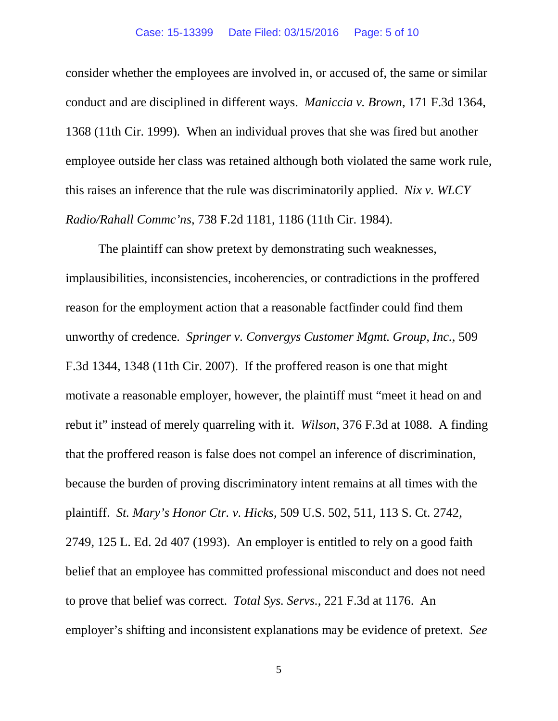#### Case: 15-13399 Date Filed: 03/15/2016 Page: 5 of 10

consider whether the employees are involved in, or accused of, the same or similar conduct and are disciplined in different ways. *Maniccia v. Brown*, 171 F.3d 1364, 1368 (11th Cir. 1999). When an individual proves that she was fired but another employee outside her class was retained although both violated the same work rule, this raises an inference that the rule was discriminatorily applied. *Nix v. WLCY Radio/Rahall Commc'ns*, 738 F.2d 1181, 1186 (11th Cir. 1984).

The plaintiff can show pretext by demonstrating such weaknesses, implausibilities, inconsistencies, incoherencies, or contradictions in the proffered reason for the employment action that a reasonable factfinder could find them unworthy of credence. *Springer v. Convergys Customer Mgmt. Group, Inc.*, 509 F.3d 1344, 1348 (11th Cir. 2007). If the proffered reason is one that might motivate a reasonable employer, however, the plaintiff must "meet it head on and rebut it" instead of merely quarreling with it. *Wilson*, 376 F.3d at 1088. A finding that the proffered reason is false does not compel an inference of discrimination, because the burden of proving discriminatory intent remains at all times with the plaintiff. *St. Mary's Honor Ctr. v. Hicks*, 509 U.S. 502, 511, 113 S. Ct. 2742, 2749, 125 L. Ed. 2d 407 (1993). An employer is entitled to rely on a good faith belief that an employee has committed professional misconduct and does not need to prove that belief was correct. *Total Sys. Servs.*, 221 F.3d at 1176. An employer's shifting and inconsistent explanations may be evidence of pretext. *See*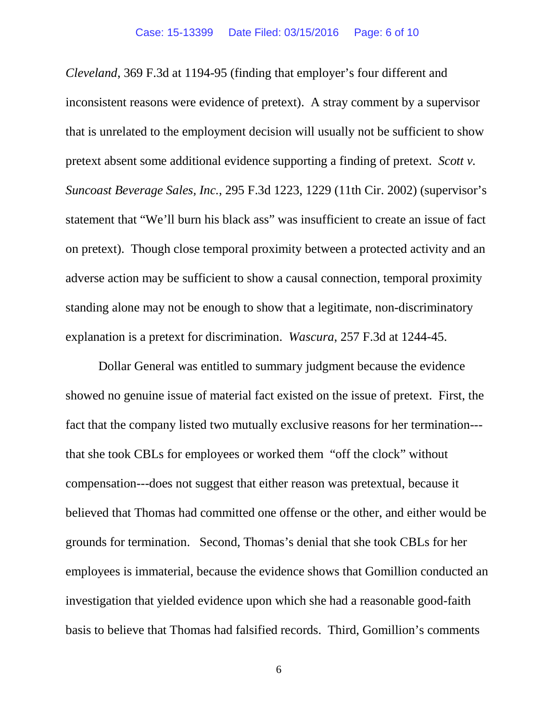*Cleveland*, 369 F.3d at 1194-95 (finding that employer's four different and inconsistent reasons were evidence of pretext). A stray comment by a supervisor that is unrelated to the employment decision will usually not be sufficient to show pretext absent some additional evidence supporting a finding of pretext. *Scott v. Suncoast Beverage Sales, Inc.*, 295 F.3d 1223, 1229 (11th Cir. 2002) (supervisor's statement that "We'll burn his black ass" was insufficient to create an issue of fact on pretext). Though close temporal proximity between a protected activity and an adverse action may be sufficient to show a causal connection, temporal proximity standing alone may not be enough to show that a legitimate, non-discriminatory explanation is a pretext for discrimination. *Wascura*, 257 F.3d at 1244-45.

Dollar General was entitled to summary judgment because the evidence showed no genuine issue of material fact existed on the issue of pretext. First, the fact that the company listed two mutually exclusive reasons for her termination-- that she took CBLs for employees or worked them "off the clock" without compensation---does not suggest that either reason was pretextual, because it believed that Thomas had committed one offense or the other, and either would be grounds for termination. Second, Thomas's denial that she took CBLs for her employees is immaterial, because the evidence shows that Gomillion conducted an investigation that yielded evidence upon which she had a reasonable good-faith basis to believe that Thomas had falsified records. Third, Gomillion's comments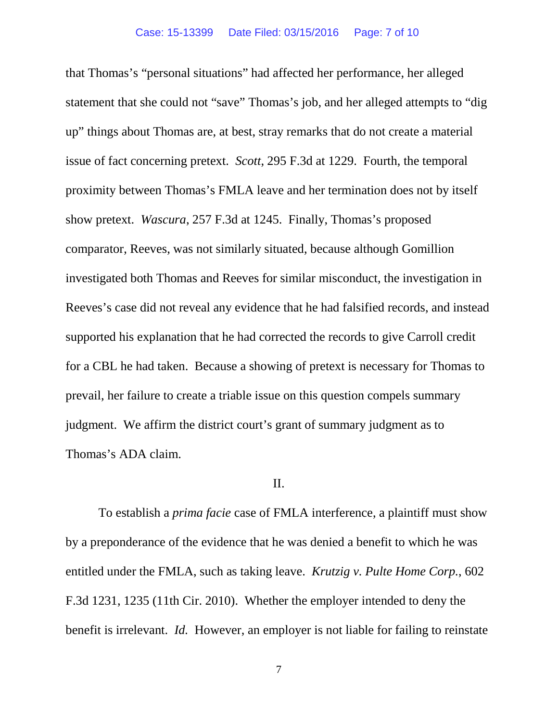that Thomas's "personal situations" had affected her performance, her alleged statement that she could not "save" Thomas's job, and her alleged attempts to "dig up" things about Thomas are, at best, stray remarks that do not create a material issue of fact concerning pretext. *Scott*, 295 F.3d at 1229. Fourth, the temporal proximity between Thomas's FMLA leave and her termination does not by itself show pretext. *Wascura*, 257 F.3d at 1245. Finally, Thomas's proposed comparator, Reeves, was not similarly situated, because although Gomillion investigated both Thomas and Reeves for similar misconduct, the investigation in Reeves's case did not reveal any evidence that he had falsified records, and instead supported his explanation that he had corrected the records to give Carroll credit for a CBL he had taken. Because a showing of pretext is necessary for Thomas to prevail, her failure to create a triable issue on this question compels summary judgment. We affirm the district court's grant of summary judgment as to Thomas's ADA claim.

## II.

To establish a *prima facie* case of FMLA interference, a plaintiff must show by a preponderance of the evidence that he was denied a benefit to which he was entitled under the FMLA, such as taking leave. *Krutzig v. Pulte Home Corp.*, 602 F.3d 1231, 1235 (11th Cir. 2010). Whether the employer intended to deny the benefit is irrelevant. *Id.* However, an employer is not liable for failing to reinstate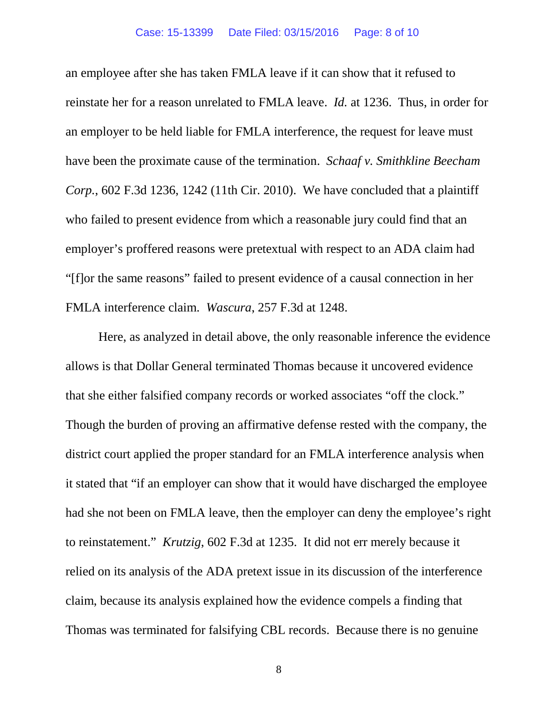an employee after she has taken FMLA leave if it can show that it refused to reinstate her for a reason unrelated to FMLA leave. *Id.* at 1236. Thus, in order for an employer to be held liable for FMLA interference, the request for leave must have been the proximate cause of the termination. *Schaaf v. Smithkline Beecham Corp.*, 602 F.3d 1236, 1242 (11th Cir. 2010). We have concluded that a plaintiff who failed to present evidence from which a reasonable jury could find that an employer's proffered reasons were pretextual with respect to an ADA claim had "[f]or the same reasons" failed to present evidence of a causal connection in her FMLA interference claim. *Wascura*, 257 F.3d at 1248.

Here, as analyzed in detail above, the only reasonable inference the evidence allows is that Dollar General terminated Thomas because it uncovered evidence that she either falsified company records or worked associates "off the clock." Though the burden of proving an affirmative defense rested with the company, the district court applied the proper standard for an FMLA interference analysis when it stated that "if an employer can show that it would have discharged the employee had she not been on FMLA leave, then the employer can deny the employee's right to reinstatement." *Krutzig*, 602 F.3d at 1235. It did not err merely because it relied on its analysis of the ADA pretext issue in its discussion of the interference claim, because its analysis explained how the evidence compels a finding that Thomas was terminated for falsifying CBL records. Because there is no genuine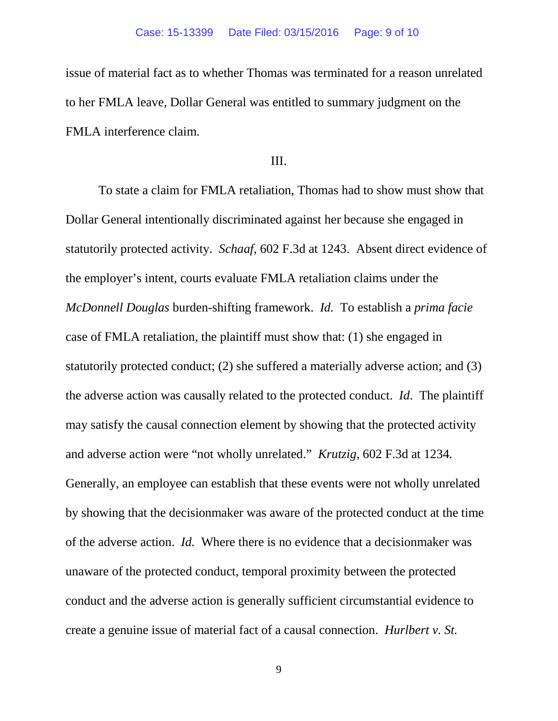issue of material fact as to whether Thomas was terminated for a reason unrelated to her FMLA leave, Dollar General was entitled to summary judgment on the FMLA interference claim.

# III.

To state a claim for FMLA retaliation, Thomas had to show must show that Dollar General intentionally discriminated against her because she engaged in statutorily protected activity. *Schaaf*, 602 F.3d at 1243. Absent direct evidence of the employer's intent, courts evaluate FMLA retaliation claims under the *McDonnell Douglas* burden-shifting framework. *Id.* To establish a *prima facie*  case of FMLA retaliation, the plaintiff must show that: (1) she engaged in statutorily protected conduct; (2) she suffered a materially adverse action; and (3) the adverse action was causally related to the protected conduct. *Id*. The plaintiff may satisfy the causal connection element by showing that the protected activity and adverse action were "not wholly unrelated." *Krutzig*, 602 F.3d at 1234*.* Generally, an employee can establish that these events were not wholly unrelated by showing that the decisionmaker was aware of the protected conduct at the time of the adverse action. *Id.* Where there is no evidence that a decisionmaker was unaware of the protected conduct, temporal proximity between the protected conduct and the adverse action is generally sufficient circumstantial evidence to create a genuine issue of material fact of a causal connection. *Hurlbert v. St.*